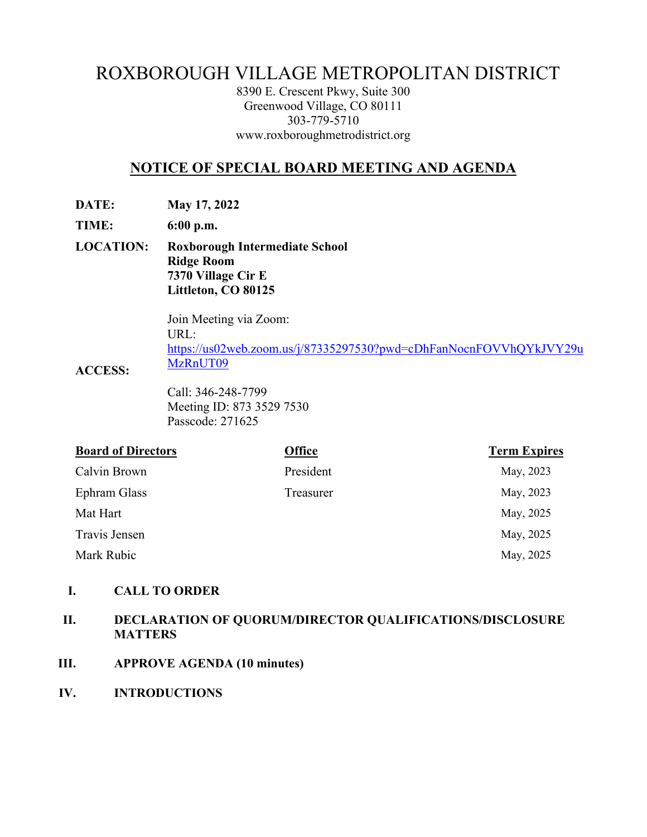# ROXBOROUGH VILLAGE METROPOLITAN DISTRICT

8390 E. Crescent Pkwy, Suite 300 Greenwood Village, CO 80111 303-779-5710 www.roxboroughmetrodistrict.org

# **NOTICE OF SPECIAL BOARD MEETING AND AGENDA**

**DATE: May 17, 2022** 

**TIME: 6:00 p.m.** 

**LOCATION: Roxborough Intermediate School Ridge Room 7370 Village Cir E Littleton, CO 80125** 

> Join Meeting via Zoom: URL: https://us02web.zoom.us/j/87335297530?pwd=cDhFanNocnFOVVhQYkJVY29u MzRnUT09

**ACCESS:** 

Call: 346-248-7799 Meeting ID: 873 3529 7530 Passcode: 271625

| <b>Board of Directors</b> | <b>Office</b> | <b>Term Expires</b> |
|---------------------------|---------------|---------------------|
| Calvin Brown              | President     | May, 2023           |
| Ephram Glass              | Treasurer     | May, 2023           |
| Mat Hart                  |               | May, 2025           |
| Travis Jensen             |               | May, 2025           |
| Mark Rubic                |               | May, 2025           |

## **I. CALL TO ORDER**

# **II. DECLARATION OF QUORUM/DIRECTOR QUALIFICATIONS/DISCLOSURE MATTERS**

- **III. APPROVE AGENDA (10 minutes)**
- **IV. INTRODUCTIONS**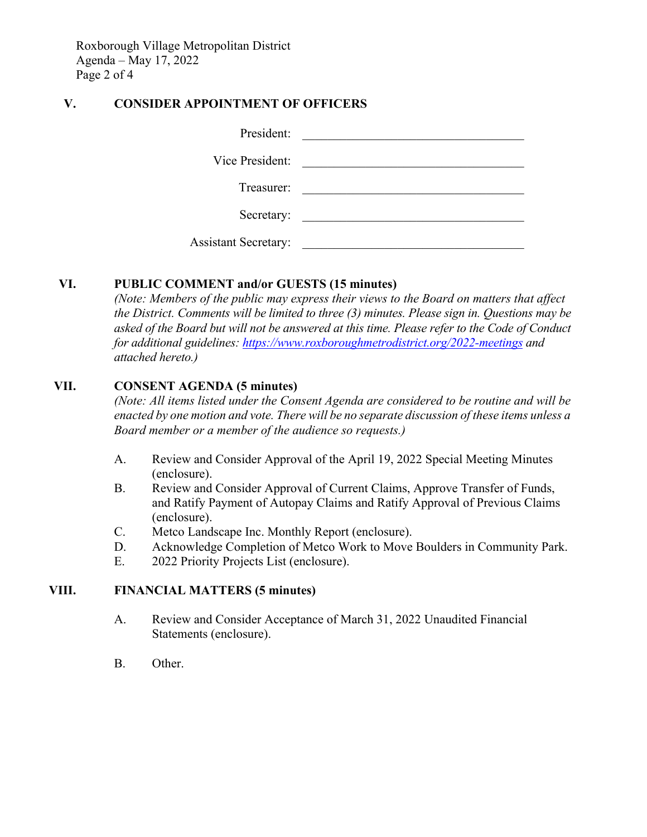Roxborough Village Metropolitan District Agenda – May 17, 2022 Page 2 of 4

## **V. CONSIDER APPOINTMENT OF OFFICERS**

| President:                  |  |
|-----------------------------|--|
| Vice President:             |  |
| Treasurer:                  |  |
| Secretary:                  |  |
| <b>Assistant Secretary:</b> |  |

## **VI. PUBLIC COMMENT and/or GUESTS (15 minutes)**

*(Note: Members of the public may express their views to the Board on matters that affect the District. Comments will be limited to three (3) minutes. Please sign in. Questions may be asked of the Board but will not be answered at this time. Please refer to the Code of Conduct for additional guidelines: https://www.roxboroughmetrodistrict.org/2022-meetings and attached hereto.)* 

## **VII. CONSENT AGENDA (5 minutes)**

*(Note: All items listed under the Consent Agenda are considered to be routine and will be enacted by one motion and vote. There will be no separate discussion of these items unless a Board member or a member of the audience so requests.)* 

- A. Review and Consider Approval of the April 19, 2022 Special Meeting Minutes (enclosure).
- B. Review and Consider Approval of Current Claims, Approve Transfer of Funds, and Ratify Payment of Autopay Claims and Ratify Approval of Previous Claims (enclosure).
- C. Metco Landscape Inc. Monthly Report (enclosure).
- D. Acknowledge Completion of Metco Work to Move Boulders in Community Park.
- E. 2022 Priority Projects List (enclosure).

## **VIII. FINANCIAL MATTERS (5 minutes)**

- A. Review and Consider Acceptance of March 31, 2022 Unaudited Financial Statements (enclosure).
- B. Other.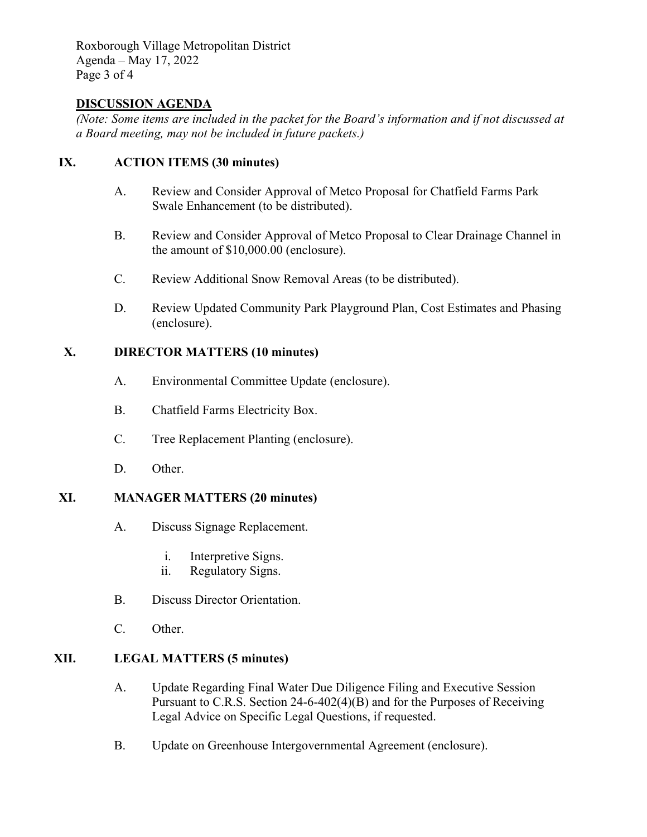Roxborough Village Metropolitan District Agenda – May 17, 2022 Page 3 of 4

#### **DISCUSSION AGENDA**

*(Note: Some items are included in the packet for the Board's information and if not discussed at a Board meeting, may not be included in future packets.)* 

# **IX. ACTION ITEMS (30 minutes)**

- A. Review and Consider Approval of Metco Proposal for Chatfield Farms Park Swale Enhancement (to be distributed).
- B. Review and Consider Approval of Metco Proposal to Clear Drainage Channel in the amount of \$10,000.00 (enclosure).
- C. Review Additional Snow Removal Areas (to be distributed).
- D. Review Updated Community Park Playground Plan, Cost Estimates and Phasing (enclosure).

## **X. DIRECTOR MATTERS (10 minutes)**

- A. Environmental Committee Update (enclosure).
- B. Chatfield Farms Electricity Box.
- C. Tree Replacement Planting (enclosure).
- D. Other.

# **XI. MANAGER MATTERS (20 minutes)**

- A. Discuss Signage Replacement.
	- i. Interpretive Signs.
	- ii. Regulatory Signs.
- B. Discuss Director Orientation.
- C. Other.

#### **XII. LEGAL MATTERS (5 minutes)**

- A. Update Regarding Final Water Due Diligence Filing and Executive Session Pursuant to C.R.S. Section 24-6-402(4)(B) and for the Purposes of Receiving Legal Advice on Specific Legal Questions, if requested.
- B. Update on Greenhouse Intergovernmental Agreement (enclosure).